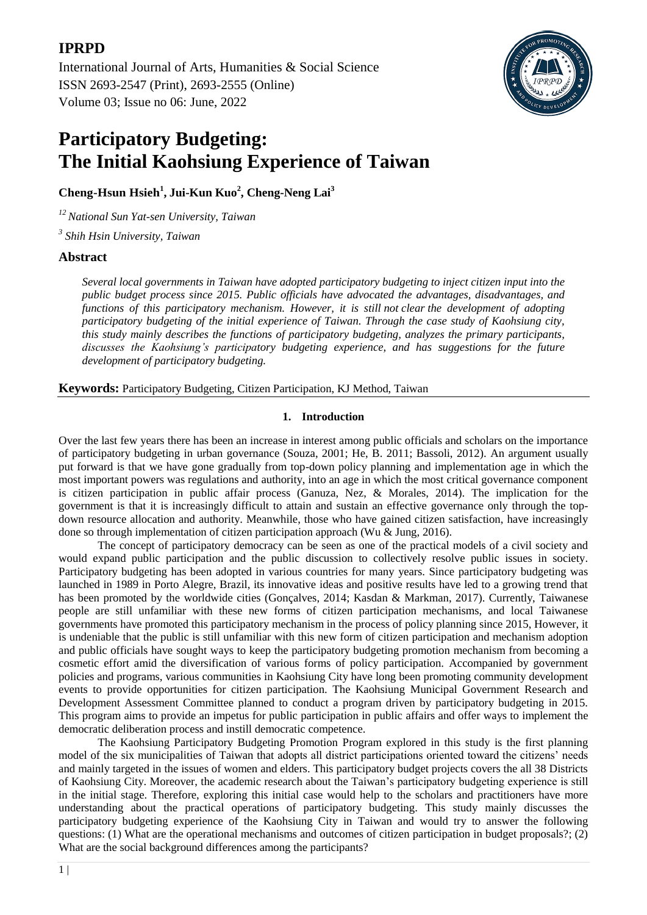# **IPRPD**

[International Journal of Arts, Humanities & Social Science](https://ijahss.net/) ISSN 2693-2547 (Print), 2693-2555 (Online) Volume 03; Issue no 06: June, 2022



# **Participatory Budgeting: The Initial Kaohsiung Experience of Taiwan**

**Cheng-Hsun Hsieh<sup>1</sup> , Jui-Kun Kuo<sup>2</sup> , Cheng-Neng Lai<sup>3</sup>**

*<sup>12</sup> National Sun Yat-sen University, Taiwan*

*3 Shih Hsin University, Taiwan*

# **Abstract**

*Several local governments in Taiwan have adopted participatory budgeting to inject citizen input into the public budget process since 2015. Public officials have advocated the advantages, disadvantages, and functions of this participatory mechanism. However, it is still not clear the development of adopting participatory budgeting of the initial experience of Taiwan. Through the case study of Kaohsiung city, this study mainly describes the functions of participatory budgeting, analyzes the primary participants, discusses the Kaohsiung's participatory budgeting experience, and has suggestions for the future development of participatory budgeting.*

**Keywords:** Participatory Budgeting, Citizen Participation, KJ Method, Taiwan

# **1. Introduction**

Over the last few years there has been an increase in interest among public officials and scholars on the importance of participatory budgeting in urban governance (Souza, 2001; He, B. 2011; Bassoli, 2012). An argument usually put forward is that we have gone gradually from top-down policy planning and implementation age in which the most important powers was regulations and authority, into an age in which the most critical governance component is citizen participation in public affair process (Ganuza, Nez, & Morales, 2014). The implication for the government is that it is increasingly difficult to attain and sustain an effective governance only through the topdown resource allocation and authority. Meanwhile, those who have gained citizen satisfaction, have increasingly done so through implementation of citizen participation approach (Wu & Jung, 2016).

The concept of participatory democracy can be seen as one of the practical models of a civil society and would expand public participation and the public discussion to collectively resolve public issues in society. Participatory budgeting has been adopted in various countries for many years. Since participatory budgeting was launched in 1989 in Porto Alegre, Brazil, its innovative ideas and positive results have led to a growing trend that has been promoted by the worldwide cities (Gonçalves, 2014; Kasdan & Markman, 2017). Currently, Taiwanese people are still unfamiliar with these new forms of citizen participation mechanisms, and local Taiwanese governments have promoted this participatory mechanism in the process of policy planning since 2015, However, it is undeniable that the public is still unfamiliar with this new form of citizen participation and mechanism adoption and public officials have sought ways to keep the participatory budgeting promotion mechanism from becoming a cosmetic effort amid the diversification of various forms of policy participation. Accompanied by government policies and programs, various communities in Kaohsiung City have long been promoting community development events to provide opportunities for citizen participation. The Kaohsiung Municipal Government Research and Development Assessment Committee planned to conduct a program driven by participatory budgeting in 2015. This program aims to provide an impetus for public participation in public affairs and offer ways to implement the democratic deliberation process and instill democratic competence.

The Kaohsiung Participatory Budgeting Promotion Program explored in this study is the first planning model of the six municipalities of Taiwan that adopts all district participations oriented toward the citizens" needs and mainly targeted in the issues of women and elders. This participatory budget projects covers the all 38 Districts of Kaohsiung City. Moreover, the academic research about the Taiwan"s participatory budgeting experience is still in the initial stage. Therefore, exploring this initial case would help to the scholars and practitioners have more understanding about the practical operations of participatory budgeting. This study mainly discusses the participatory budgeting experience of the Kaohsiung City in Taiwan and would try to answer the following questions: (1) What are the operational mechanisms and outcomes of citizen participation in budget proposals?; (2) What are the social background differences among the participants?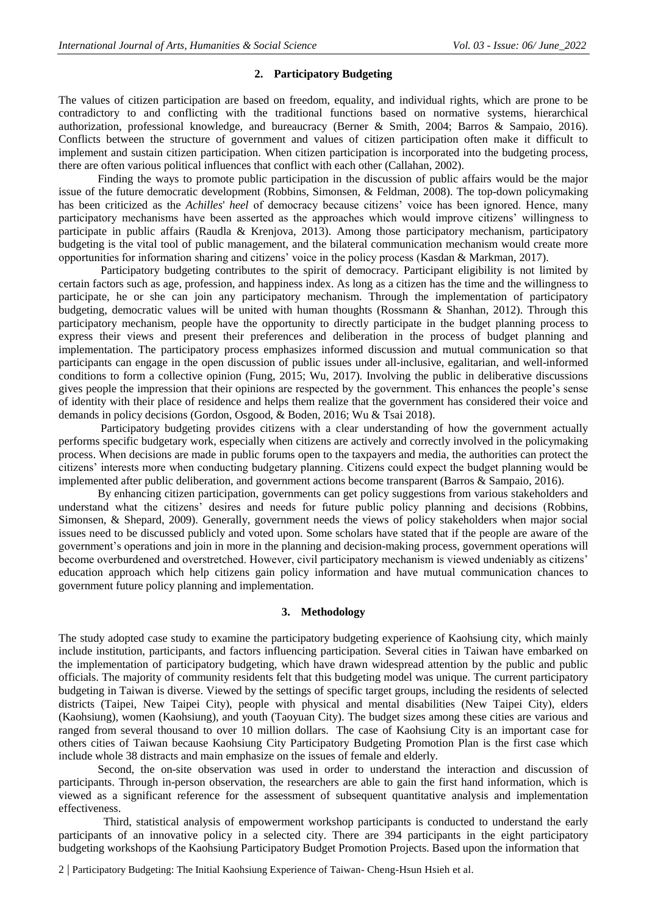#### **2. Participatory Budgeting**

The values of citizen participation are based on freedom, equality, and individual rights, which are prone to be contradictory to and conflicting with the traditional functions based on normative systems, hierarchical authorization, professional knowledge, and bureaucracy (Berner & Smith, 2004; Barros & Sampaio, 2016). Conflicts between the structure of government and values of citizen participation often make it difficult to implement and sustain citizen participation. When citizen participation is incorporated into the budgeting process, there are often various political influences that conflict with each other (Callahan, 2002).

 Finding the ways to promote public participation in the discussion of public affairs would be the major issue of the future democratic development (Robbins, Simonsen, & Feldman, 2008). The top-down policymaking has been criticized as the *Achilles*' *heel* of democracy because citizens" voice has been ignored. Hence, many participatory mechanisms have been asserted as the approaches which would improve citizens" willingness to participate in public affairs (Raudla & Krenjova, 2013). Among those participatory mechanism, participatory budgeting is the vital tool of public management, and the bilateral communication mechanism would create more opportunities for information sharing and citizens" voice in the policy process (Kasdan & Markman, 2017).

 Participatory budgeting contributes to the spirit of democracy. Participant eligibility is not limited by certain factors such as age, profession, and happiness index. As long as a citizen has the time and the willingness to participate, he or she can join any participatory mechanism. Through the implementation of participatory budgeting, democratic values will be united with human thoughts (Rossmann & Shanhan, 2012). Through this participatory mechanism, people have the opportunity to directly participate in the budget planning process to express their views and present their preferences and deliberation in the process of budget planning and implementation. The participatory process emphasizes informed discussion and mutual communication so that participants can engage in the open discussion of public issues under all-inclusive, egalitarian, and well-informed conditions to form a collective opinion (Fung, 2015; Wu, 2017). Involving the public in deliberative discussions gives people the impression that their opinions are respected by the government. This enhances the people"s sense of identity with their place of residence and helps them realize that the government has considered their voice and demands in policy decisions (Gordon, Osgood, & Boden, 2016; Wu & Tsai 2018).

 Participatory budgeting provides citizens with a clear understanding of how the government actually performs specific budgetary work, especially when citizens are actively and correctly involved in the policymaking process. When decisions are made in public forums open to the taxpayers and media, the authorities can protect the citizens" interests more when conducting budgetary planning. Citizens could expect the budget planning would be implemented after public deliberation, and government actions become transparent (Barros & Sampaio, 2016).

 By enhancing citizen participation, governments can get policy suggestions from various stakeholders and understand what the citizens" desires and needs for future public policy planning and decisions (Robbins, Simonsen, & Shepard, 2009). Generally, government needs the views of policy stakeholders when major social issues need to be discussed publicly and voted upon. Some scholars have stated that if the people are aware of the government"s operations and join in more in the planning and decision-making process, government operations will become overburdened and overstretched. However, civil participatory mechanism is viewed undeniably as citizens" education approach which help citizens gain policy information and have mutual communication chances to government future policy planning and implementation.

#### **3. Methodology**

The study adopted case study to examine the participatory budgeting experience of Kaohsiung city, which mainly include institution, participants, and factors influencing participation. Several cities in Taiwan have embarked on the implementation of participatory budgeting, which have drawn widespread attention by the public and public officials. The majority of community residents felt that this budgeting model was unique. The current participatory budgeting in Taiwan is diverse. Viewed by the settings of specific target groups, including the residents of selected districts (Taipei, New Taipei City), people with physical and mental disabilities (New Taipei City), elders (Kaohsiung), women (Kaohsiung), and youth (Taoyuan City). The budget sizes among these cities are various and ranged from several thousand to over 10 million dollars. The case of Kaohsiung City is an important case for others cities of Taiwan because Kaohsiung City Participatory Budgeting Promotion Plan is the first case which include whole 38 distracts and main emphasize on the issues of female and elderly.

 Second, the on-site observation was used in order to understand the interaction and discussion of participants. Through in-person observation, the researchers are able to gain the first hand information, which is viewed as a significant reference for the assessment of subsequent quantitative analysis and implementation effectiveness.

 Third, statistical analysis of empowerment workshop participants is conducted to understand the early participants of an innovative policy in a selected city. There are 394 participants in the eight participatory budgeting workshops of the Kaohsiung Participatory Budget Promotion Projects. Based upon the information that

2 | Participatory Budgeting: The Initial Kaohsiung Experience of Taiwan- Cheng-Hsun Hsieh et al.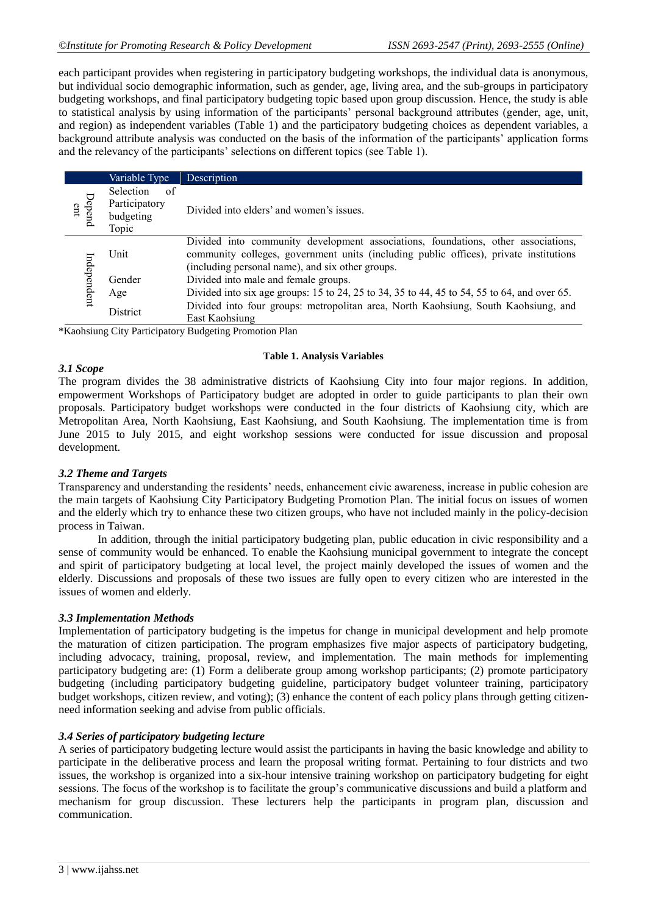each participant provides when registering in participatory budgeting workshops, the individual data is anonymous, but individual socio demographic information, such as gender, age, living area, and the sub-groups in participatory budgeting workshops, and final participatory budgeting topic based upon group discussion. Hence, the study is able to statistical analysis by using information of the participants" personal background attributes (gender, age, unit, and region) as independent variables (Table 1) and the participatory budgeting choices as dependent variables, a background attribute analysis was conducted on the basis of the information of the participants" application forms and the relevancy of the participants" selections on different topics (see Table 1).

|               | Variable Type                                           | Description                                                                                                                                                                                                                    |
|---------------|---------------------------------------------------------|--------------------------------------------------------------------------------------------------------------------------------------------------------------------------------------------------------------------------------|
| Depend<br>ent | Selection<br>-of<br>Participatory<br>budgeting<br>Topic | Divided into elders' and women's issues.                                                                                                                                                                                       |
| Independent   | Unit                                                    | Divided into community development associations, foundations, other associations,<br>community colleges, government units (including public offices), private institutions<br>(including personal name), and six other groups. |
|               | Gender                                                  | Divided into male and female groups.                                                                                                                                                                                           |
|               | Age                                                     | Divided into six age groups: 15 to 24, 25 to 34, 35 to 44, 45 to 54, 55 to 64, and over 65.                                                                                                                                    |
|               | District                                                | Divided into four groups: metropolitan area, North Kaohsiung, South Kaohsiung, and<br>East Kaohsiung                                                                                                                           |

\*Kaohsiung City Participatory Budgeting Promotion Plan

#### **Table 1. Analysis Variables**

#### *3.1 Scope*

The program divides the 38 administrative districts of Kaohsiung City into four major regions. In addition, empowerment Workshops of Participatory budget are adopted in order to guide participants to plan their own proposals. Participatory budget workshops were conducted in the four districts of Kaohsiung city, which are Metropolitan Area, North Kaohsiung, East Kaohsiung, and South Kaohsiung. The implementation time is from June 2015 to July 2015, and eight workshop sessions were conducted for issue discussion and proposal development.

#### *3.2 Theme and Targets*

Transparency and understanding the residents" needs, enhancement civic awareness, increase in public cohesion are the main targets of Kaohsiung City Participatory Budgeting Promotion Plan. The initial focus on issues of women and the elderly which try to enhance these two citizen groups, who have not included mainly in the policy-decision process in Taiwan.

In addition, through the initial participatory budgeting plan, public education in civic responsibility and a sense of community would be enhanced. To enable the Kaohsiung municipal government to integrate the concept and spirit of participatory budgeting at local level, the project mainly developed the issues of women and the elderly. Discussions and proposals of these two issues are fully open to every citizen who are interested in the issues of women and elderly.

#### *3.3 Implementation Methods*

Implementation of participatory budgeting is the impetus for change in municipal development and help promote the maturation of citizen participation. The program emphasizes five major aspects of participatory budgeting, including advocacy, training, proposal, review, and implementation. The main methods for implementing participatory budgeting are: (1) Form a deliberate group among workshop participants; (2) promote participatory budgeting (including participatory budgeting guideline, participatory budget volunteer training, participatory budget workshops, citizen review, and voting); (3) enhance the content of each policy plans through getting citizenneed information seeking and advise from public officials.

#### *3.4 Series of participatory budgeting lecture*

A series of participatory budgeting lecture would assist the participants in having the basic knowledge and ability to participate in the deliberative process and learn the proposal writing format. Pertaining to four districts and two issues, the workshop is organized into a six-hour intensive training workshop on participatory budgeting for eight sessions. The focus of the workshop is to facilitate the group's communicative discussions and build a platform and mechanism for group discussion. These lecturers help the participants in program plan, discussion and communication.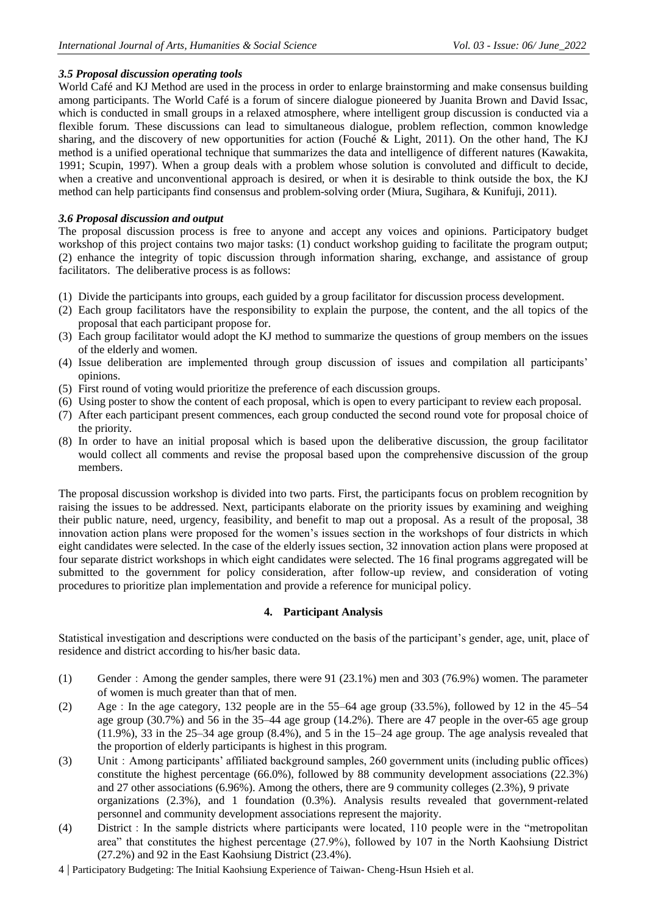#### *3.5 Proposal discussion operating tools*

World Café and KJ Method are used in the process in order to enlarge brainstorming and make consensus building among participants. The World Café is a forum of sincere dialogue pioneered by Juanita Brown and David Issac, which is conducted in small groups in a relaxed atmosphere, where intelligent group discussion is conducted via a flexible forum. These discussions can lead to simultaneous dialogue, problem reflection, common knowledge sharing, and the discovery of new opportunities for action (Fouché & Light, 2011). On the other hand, The KJ method is a unified operational technique that summarizes the data and intelligence of different natures (Kawakita, 1991; Scupin, 1997). When a group deals with a problem whose solution is convoluted and difficult to decide, when a creative and unconventional approach is desired, or when it is desirable to think outside the box, the KJ method can help participants find consensus and problem-solving order (Miura, Sugihara, & Kunifuji, 2011).

#### *3.6 Proposal discussion and output*

The proposal discussion process is free to anyone and accept any voices and opinions. Participatory budget workshop of this project contains two major tasks: (1) conduct workshop guiding to facilitate the program output; (2) enhance the integrity of topic discussion through information sharing, exchange, and assistance of group facilitators. The deliberative process is as follows:

- (1) Divide the participants into groups, each guided by a group facilitator for discussion process development.
- (2) Each group facilitators have the responsibility to explain the purpose, the content, and the all topics of the proposal that each participant propose for.
- (3) Each group facilitator would adopt the KJ method to summarize the questions of group members on the issues of the elderly and women.
- (4) Issue deliberation are implemented through group discussion of issues and compilation all participants" opinions.
- (5) First round of voting would prioritize the preference of each discussion groups.
- (6) Using poster to show the content of each proposal, which is open to every participant to review each proposal.
- (7) After each participant present commences, each group conducted the second round vote for proposal choice of the priority.
- (8) In order to have an initial proposal which is based upon the deliberative discussion, the group facilitator would collect all comments and revise the proposal based upon the comprehensive discussion of the group members.

The proposal discussion workshop is divided into two parts. First, the participants focus on problem recognition by raising the issues to be addressed. Next, participants elaborate on the priority issues by examining and weighing their public nature, need, urgency, feasibility, and benefit to map out a proposal. As a result of the proposal, 38 innovation action plans were proposed for the women"s issues section in the workshops of four districts in which eight candidates were selected. In the case of the elderly issues section, 32 innovation action plans were proposed at four separate district workshops in which eight candidates were selected. The 16 final programs aggregated will be submitted to the government for policy consideration, after follow-up review, and consideration of voting procedures to prioritize plan implementation and provide a reference for municipal policy.

# **4. Participant Analysis**

Statistical investigation and descriptions were conducted on the basis of the participant"s gender, age, unit, place of residence and district according to his/her basic data.

- (1) Gender:Among the gender samples, there were 91 (23.1%) men and 303 (76.9%) women. The parameter of women is much greater than that of men.
- (2) Age:In the age category, 132 people are in the 55–64 age group (33.5%), followed by 12 in the 45–54 age group (30.7%) and 56 in the 35–44 age group (14.2%). There are 47 people in the over-65 age group (11.9%), 33 in the 25–34 age group (8.4%), and 5 in the 15–24 age group. The age analysis revealed that the proportion of elderly participants is highest in this program.
- (3) Unit:Among participants" affiliated background samples, 260 government units (including public offices) constitute the highest percentage (66.0%), followed by 88 community development associations (22.3%) and 27 other associations (6.96%). Among the others, there are 9 community colleges (2.3%), 9 private organizations (2.3%), and 1 foundation (0.3%). Analysis results revealed that government-related personnel and community development associations represent the majority.
- (4) District:In the sample districts where participants were located, 110 people were in the "metropolitan area" that constitutes the highest percentage (27.9%), followed by 107 in the North Kaohsiung District (27.2%) and 92 in the East Kaohsiung District (23.4%).
- 4 | Participatory Budgeting: The Initial Kaohsiung Experience of Taiwan- Cheng-Hsun Hsieh et al.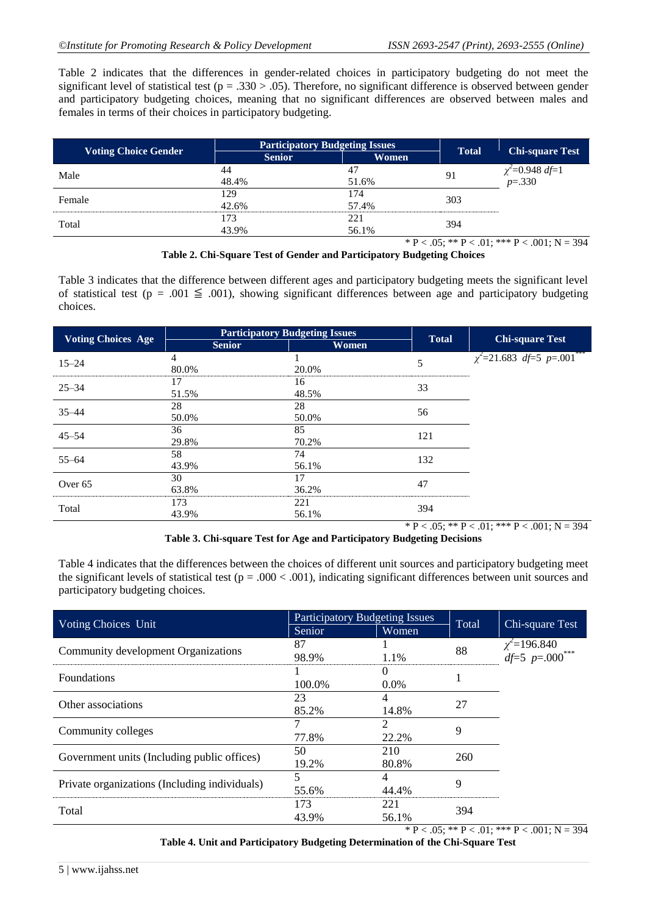Table 2 indicates that the differences in gender-related choices in participatory budgeting do not meet the significant level of statistical test ( $p = .330 > .05$ ). Therefore, no significant difference is observed between gender and participatory budgeting choices, meaning that no significant differences are observed between males and females in terms of their choices in participatory budgeting.

|                             | <b>Participatory Budgeting Issues</b> | <b>Total</b> | <b>Chi-square Test</b>                                                                                                                      |                                |
|-----------------------------|---------------------------------------|--------------|---------------------------------------------------------------------------------------------------------------------------------------------|--------------------------------|
| <b>Voting Choice Gender</b> | Women<br><b>Senior</b>                |              |                                                                                                                                             |                                |
| Male                        |                                       |              |                                                                                                                                             |                                |
|                             | 48.4%                                 | 51.6%        |                                                                                                                                             | $\chi^2$ =0.948 df=1<br>p=.330 |
| Female                      | 29                                    | 74           | 303                                                                                                                                         |                                |
|                             | 42.6%                                 | 57.4%        |                                                                                                                                             |                                |
|                             | 173                                   | 221          |                                                                                                                                             |                                |
| Total                       | 43.9%                                 | 56.1%        | 394                                                                                                                                         |                                |
|                             |                                       |              | $\mathcal{L}$ and $\mathcal{L}$ and $\mathcal{L}$ and $\mathcal{L}$ and $\mathcal{L}$ and $\mathcal{L}$ and $\mathcal{L}$ and $\mathcal{L}$ | $0.01 \times 10^{-1}$          |

 $*$  P < .05;  $*$  P < .01;  $*$  P < .001; N = 394 **Table 2. Chi-Square Test of Gender and Participatory Budgeting Choices**

Table 3 indicates that the difference between different ages and participatory budgeting meets the significant level of statistical test (p = .001  $\leq$  .001), showing significant differences between age and participatory budgeting choices.

| <b>Voting Choices Age</b> | <b>Participatory Budgeting Issues</b> |       | <b>Total</b> | <b>Chi-square Test</b>                       |
|---------------------------|---------------------------------------|-------|--------------|----------------------------------------------|
|                           | <b>Senior</b>                         | Women |              |                                              |
| $15 - 24$                 | 4                                     |       | 5            | $\chi^2$ =21.683 df=5 p=.001 <sup>**</sup>   |
|                           | 80.0%                                 | 20.0% |              |                                              |
| $25 - 34$                 | 17                                    | 16    | 33           |                                              |
|                           | 51.5%                                 | 48.5% |              |                                              |
|                           | 28                                    | 28    |              |                                              |
| $35 - 44$                 | 50.0%                                 | 50.0% | 56           |                                              |
|                           | 36                                    | 85    | 121          |                                              |
| $45 - 54$                 | 29.8%                                 | 70.2% |              |                                              |
|                           | 58                                    | 74    |              |                                              |
| $55 - 64$                 | 43.9%                                 | 56.1% | 132          |                                              |
|                           | 30                                    | 17    |              |                                              |
| Over <sub>65</sub>        | 63.8%                                 | 36.2% | 47           |                                              |
|                           | 173                                   | 221   |              |                                              |
| Total                     | 43.9%                                 | 56.1% | 394          |                                              |
|                           |                                       |       |              | * P < .05; ** P < .01; *** P < .001; N = 394 |

**Table 3. Chi-square Test for Age and Participatory Budgeting Decisions**

Table 4 indicates that the differences between the choices of different unit sources and participatory budgeting meet the significant levels of statistical test ( $p = .000 < .001$ ), indicating significant differences between unit sources and participatory budgeting choices.

| Voting Choices Unit                           | <b>Participatory Budgeting Issues</b> |         | Total |                                                |  |
|-----------------------------------------------|---------------------------------------|---------|-------|------------------------------------------------|--|
|                                               | Senior                                | Women   |       | Chi-square Test                                |  |
| Community development Organizations           | 87                                    |         | 88    | $\chi^2 = 196.840$<br>df=5 p=.000 <sup>*</sup> |  |
|                                               | 98.9%                                 | 1.1%    |       |                                                |  |
| <b>Foundations</b>                            |                                       |         |       |                                                |  |
|                                               | 100.0%                                | $0.0\%$ |       |                                                |  |
| Other associations                            | 23                                    |         | 27    |                                                |  |
|                                               | 85.2%                                 | 14.8%   |       |                                                |  |
|                                               |                                       |         | 9     |                                                |  |
| Community colleges                            | 77.8%                                 | 22.2%   |       |                                                |  |
| Government units (Including public offices)   | 50                                    | 210     | 260   |                                                |  |
|                                               | 19.2%                                 | 80.8%   |       |                                                |  |
|                                               |                                       |         | Q     |                                                |  |
| Private organizations (Including individuals) | 55.6%                                 | 44.4%   |       |                                                |  |
| Total                                         | 173                                   | 221     | 394   |                                                |  |
|                                               | 43.9%                                 | 56.1%   |       |                                                |  |

 $* P < 0.05$ ; \*\*  $P < 0.01$ ; \*\*\*  $P < 0.001$ ; N = 394

**Table 4. Unit and Participatory Budgeting Determination of the Chi-Square Test**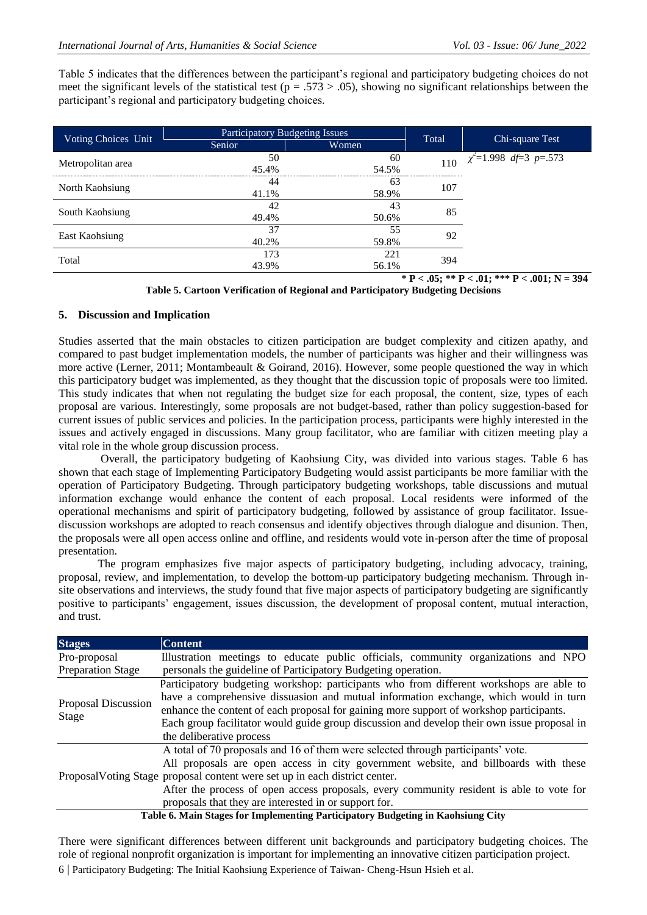Table 5 indicates that the differences between the participant"s regional and participatory budgeting choices do not meet the significant levels of the statistical test ( $p = .573 > .05$ ), showing no significant relationships between the participant"s regional and participatory budgeting choices.

|                     | <b>Participatory Budgeting Issues</b> |       |       |                                                 |  |
|---------------------|---------------------------------------|-------|-------|-------------------------------------------------|--|
| Voting Choices Unit | Senior                                | Women | Total | Chi-square Test                                 |  |
| Metropolitan area   | 50                                    | 60    |       | 110 $\chi^2 = 1.998 \overline{df} = 3 p = .573$ |  |
|                     | 45.4%                                 | 54.5% |       |                                                 |  |
|                     | 44                                    | 63    | 107   |                                                 |  |
| North Kaohsiung     | 41 1%                                 | 58.9% |       |                                                 |  |
| South Kaohsiung     | 42                                    | 43    | 85    |                                                 |  |
|                     | 49.4%                                 | 50.6% |       |                                                 |  |
| East Kaohsiung      | 37                                    | 55    | 92    |                                                 |  |
|                     | 40.2%                                 | 59.8% |       |                                                 |  |
| Total               | 173                                   | 221   | 394   |                                                 |  |
|                     | 43.9%                                 | 56.1% |       |                                                 |  |
|                     |                                       |       |       | * P < .05; ** P < .01; *** P < .001; N = 394    |  |

| Table 5. Cartoon Verification of Regional and Participatory Budgeting Decisions |  |  |  |
|---------------------------------------------------------------------------------|--|--|--|
|                                                                                 |  |  |  |

## **5. Discussion and Implication**

Studies asserted that the main obstacles to citizen participation are budget complexity and citizen apathy, and compared to past budget implementation models, the number of participants was higher and their willingness was more active (Lerner, 2011; Montambeault & Goirand, 2016). However, some people questioned the way in which this participatory budget was implemented, as they thought that the discussion topic of proposals were too limited. This study indicates that when not regulating the budget size for each proposal, the content, size, types of each proposal are various. Interestingly, some proposals are not budget-based, rather than policy suggestion-based for current issues of public services and policies. In the participation process, participants were highly interested in the issues and actively engaged in discussions. Many group facilitator, who are familiar with citizen meeting play a vital role in the whole group discussion process.

 Overall, the participatory budgeting of Kaohsiung City, was divided into various stages. Table 6 has shown that each stage of Implementing Participatory Budgeting would assist participants be more familiar with the operation of Participatory Budgeting. Through participatory budgeting workshops, table discussions and mutual information exchange would enhance the content of each proposal. Local residents were informed of the operational mechanisms and spirit of participatory budgeting, followed by assistance of group facilitator. Issuediscussion workshops are adopted to reach consensus and identify objectives through dialogue and disunion. Then, the proposals were all open access online and offline, and residents would vote in-person after the time of proposal presentation.

 The program emphasizes five major aspects of participatory budgeting, including advocacy, training, proposal, review, and implementation, to develop the bottom-up participatory budgeting mechanism. Through insite observations and interviews, the study found that five major aspects of participatory budgeting are significantly positive to participants" engagement, issues discussion, the development of proposal content, mutual interaction, and trust.

| <b>Stages</b>                | <b>Content</b>                                                                                                                                                                                                                                                                                                                                                                                              |
|------------------------------|-------------------------------------------------------------------------------------------------------------------------------------------------------------------------------------------------------------------------------------------------------------------------------------------------------------------------------------------------------------------------------------------------------------|
| Pro-proposal                 | Illustration meetings to educate public officials, community organizations and NPO                                                                                                                                                                                                                                                                                                                          |
| <b>Preparation Stage</b>     | personals the guideline of Participatory Budgeting operation.                                                                                                                                                                                                                                                                                                                                               |
| Proposal Discussion<br>Stage | Participatory budgeting workshop: participants who from different workshops are able to<br>have a comprehensive dissuasion and mutual information exchange, which would in turn<br>enhance the content of each proposal for gaining more support of workshop participants.<br>Each group facilitator would guide group discussion and develop their own issue proposal in<br>the deliberative process       |
|                              | A total of 70 proposals and 16 of them were selected through participants' vote.<br>All proposals are open access in city government website, and billboards with these<br>Proposal Voting Stage proposal content were set up in each district center.<br>After the process of open access proposals, every community resident is able to vote for<br>proposals that they are interested in or support for. |
|                              | Table 6. Main Stages for Implementing Participatory Budgeting in Kaohsiung City                                                                                                                                                                                                                                                                                                                             |

6 | Participatory Budgeting: The Initial Kaohsiung Experience of Taiwan- Cheng-Hsun Hsieh et al. There were significant differences between different unit backgrounds and participatory budgeting choices. The role of regional nonprofit organization is important for implementing an innovative citizen participation project.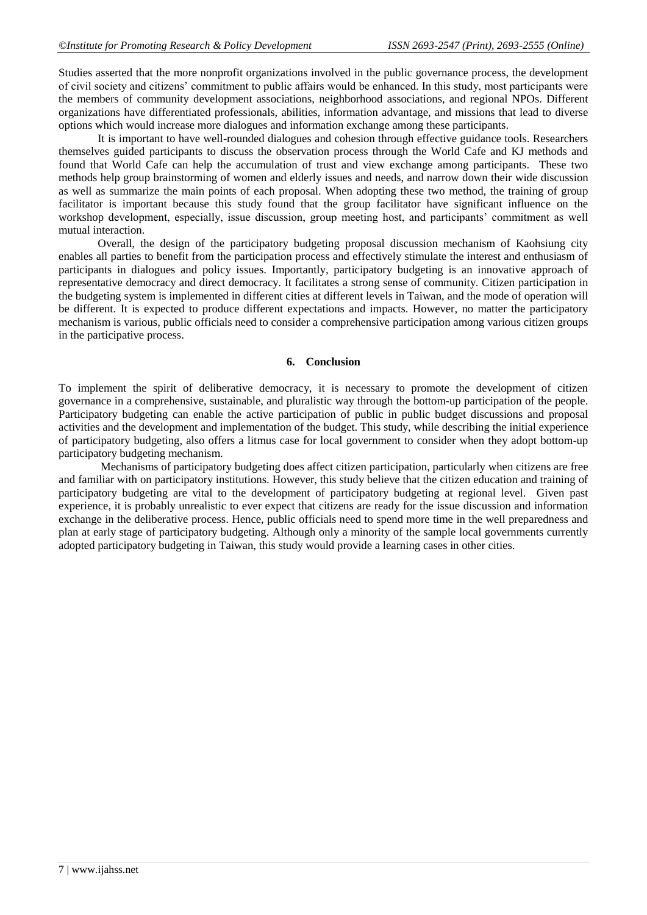Studies asserted that the more nonprofit organizations involved in the public governance process, the development of civil society and citizens" commitment to public affairs would be enhanced. In this study, most participants were the members of community development associations, neighborhood associations, and regional NPOs. Different organizations have differentiated professionals, abilities, information advantage, and missions that lead to diverse options which would increase more dialogues and information exchange among these participants.

 It is important to have well-rounded dialogues and cohesion through effective guidance tools. Researchers themselves guided participants to discuss the observation process through the World Cafe and KJ methods and found that World Cafe can help the accumulation of trust and view exchange among participants. These two methods help group brainstorming of women and elderly issues and needs, and narrow down their wide discussion as well as summarize the main points of each proposal. When adopting these two method, the training of group facilitator is important because this study found that the group facilitator have significant influence on the workshop development, especially, issue discussion, group meeting host, and participants" commitment as well mutual interaction.

 Overall, the design of the participatory budgeting proposal discussion mechanism of Kaohsiung city enables all parties to benefit from the participation process and effectively stimulate the interest and enthusiasm of participants in dialogues and policy issues. Importantly, participatory budgeting is an innovative approach of representative democracy and direct democracy. It facilitates a strong sense of community. Citizen participation in the budgeting system is implemented in different cities at different levels in Taiwan, and the mode of operation will be different. It is expected to produce different expectations and impacts. However, no matter the participatory mechanism is various, public officials need to consider a comprehensive participation among various citizen groups in the participative process.

## **6. Conclusion**

To implement the spirit of deliberative democracy, it is necessary to promote the development of citizen governance in a comprehensive, sustainable, and pluralistic way through the bottom-up participation of the people. Participatory budgeting can enable the active participation of public in public budget discussions and proposal activities and the development and implementation of the budget. This study, while describing the initial experience of participatory budgeting, also offers a litmus case for local government to consider when they adopt bottom-up participatory budgeting mechanism.

 Mechanisms of participatory budgeting does affect citizen participation, particularly when citizens are free and familiar with on participatory institutions. However, this study believe that the citizen education and training of participatory budgeting are vital to the development of participatory budgeting at regional level. Given past experience, it is probably unrealistic to ever expect that citizens are ready for the issue discussion and information exchange in the deliberative process. Hence, public officials need to spend more time in the well preparedness and plan at early stage of participatory budgeting. Although only a minority of the sample local governments currently adopted participatory budgeting in Taiwan, this study would provide a learning cases in other cities.